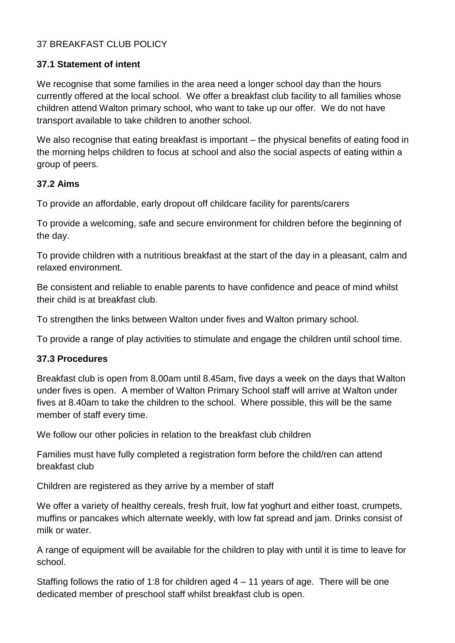# 37 BREAKFAST CLUB POLICY

### **37.1 Statement of intent**

We recognise that some families in the area need a longer school day than the hours currently offered at the local school. We offer a breakfast club facility to all families whose children attend Walton primary school, who want to take up our offer. We do not have transport available to take children to another school.

We also recognise that eating breakfast is important – the physical benefits of eating food in the morning helps children to focus at school and also the social aspects of eating within a group of peers.

### **37.2 Aims**

To provide an affordable, early dropout off childcare facility for parents/carers

To provide a welcoming, safe and secure environment for children before the beginning of the day.

To provide children with a nutritious breakfast at the start of the day in a pleasant, calm and relaxed environment.

Be consistent and reliable to enable parents to have confidence and peace of mind whilst their child is at breakfast club.

To strengthen the links between Walton under fives and Walton primary school.

To provide a range of play activities to stimulate and engage the children until school time.

#### **37.3 Procedures**

Breakfast club is open from 8.00am until 8.45am, five days a week on the days that Walton under fives is open. A member of Walton Primary School staff will arrive at Walton under fives at 8.40am to take the children to the school. Where possible, this will be the same member of staff every time.

We follow our other policies in relation to the breakfast club children

Families must have fully completed a registration form before the child/ren can attend breakfast club

Children are registered as they arrive by a member of staff

We offer a variety of healthy cereals, fresh fruit, low fat yoghurt and either toast, crumpets, muffins or pancakes which alternate weekly, with low fat spread and jam. Drinks consist of milk or water.

A range of equipment will be available for the children to play with until it is time to leave for school.

Staffing follows the ratio of 1:8 for children aged  $4 - 11$  years of age. There will be one dedicated member of preschool staff whilst breakfast club is open.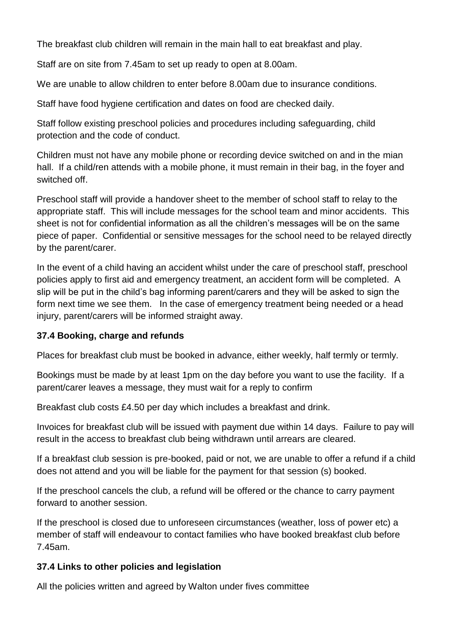The breakfast club children will remain in the main hall to eat breakfast and play.

Staff are on site from 7.45am to set up ready to open at 8.00am.

We are unable to allow children to enter before 8.00am due to insurance conditions.

Staff have food hygiene certification and dates on food are checked daily.

Staff follow existing preschool policies and procedures including safeguarding, child protection and the code of conduct.

Children must not have any mobile phone or recording device switched on and in the mian hall. If a child/ren attends with a mobile phone, it must remain in their bag, in the foyer and switched off.

Preschool staff will provide a handover sheet to the member of school staff to relay to the appropriate staff. This will include messages for the school team and minor accidents. This sheet is not for confidential information as all the children's messages will be on the same piece of paper. Confidential or sensitive messages for the school need to be relayed directly by the parent/carer.

In the event of a child having an accident whilst under the care of preschool staff, preschool policies apply to first aid and emergency treatment, an accident form will be completed. A slip will be put in the child's bag informing parent/carers and they will be asked to sign the form next time we see them. In the case of emergency treatment being needed or a head injury, parent/carers will be informed straight away.

# **37.4 Booking, charge and refunds**

Places for breakfast club must be booked in advance, either weekly, half termly or termly.

Bookings must be made by at least 1pm on the day before you want to use the facility. If a parent/carer leaves a message, they must wait for a reply to confirm

Breakfast club costs £4.50 per day which includes a breakfast and drink.

Invoices for breakfast club will be issued with payment due within 14 days. Failure to pay will result in the access to breakfast club being withdrawn until arrears are cleared.

If a breakfast club session is pre-booked, paid or not, we are unable to offer a refund if a child does not attend and you will be liable for the payment for that session (s) booked.

If the preschool cancels the club, a refund will be offered or the chance to carry payment forward to another session.

If the preschool is closed due to unforeseen circumstances (weather, loss of power etc) a member of staff will endeavour to contact families who have booked breakfast club before 7.45am.

# **37.4 Links to other policies and legislation**

All the policies written and agreed by Walton under fives committee